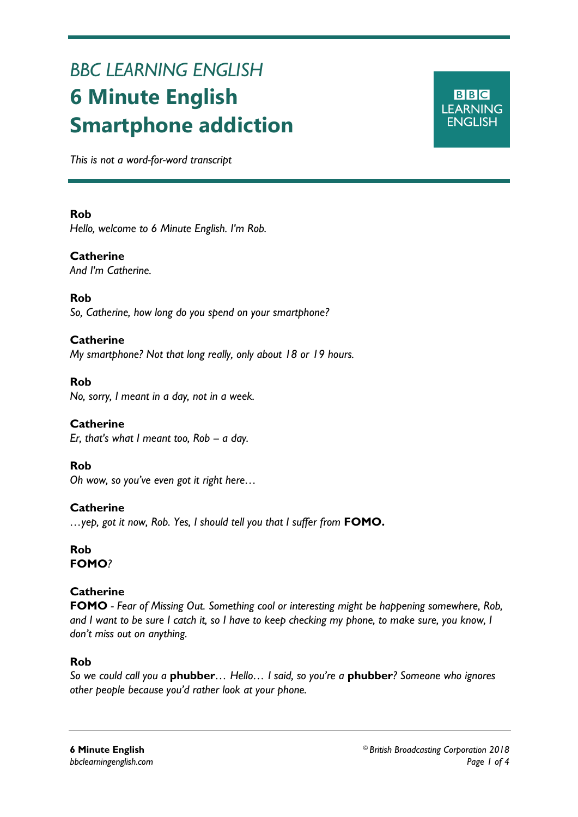# *BBC LEARNING ENGLISH* **6 Minute English Smartphone addiction**

**BBC LEARNING ENGLISH** 

*This is not a word-for-word transcript*

#### **Rob**

Ξ

*Hello, welcome to 6 Minute English. I'm Rob.*

**Catherine** *And I'm Catherine.*

**Rob** *So, Catherine, how long do you spend on your smartphone?*

**Catherine** *My smartphone? Not that long really, only about 18 or 19 hours.*

**Rob** *No, sorry, I meant in a day, not in a week.*

**Catherine** *Er, that's what I meant too, Rob – a day.*

**Rob** *Oh wow, so you've even got it right here…*

**Catherine** *…yep, got it now, Rob. Yes, I should tell you that I suffer from* **FOMO.**

**Rob FOMO***?*

#### **Catherine**

**FOMO** *- Fear of Missing Out. Something cool or interesting might be happening somewhere, Rob, and I want to be sure I catch it, so I have to keep checking my phone, to make sure, you know, I don't miss out on anything.*

#### **Rob**

*So we could call you a* **phubber***… Hello… I said, so you're a* **phubber***? Someone who ignores other people because you'd rather look at your phone.*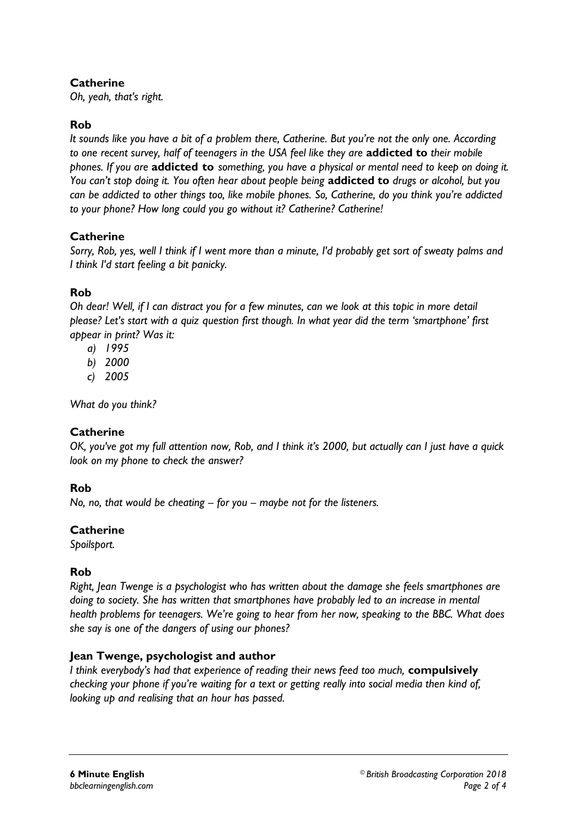# **Catherine**

*Oh, yeah, that's right.*

# **Rob**

*It sounds like you have a bit of a problem there, Catherine. But you're not the only one. According to one recent survey, half of teenagers in the USA feel like they are* **addicted to** *their mobile phones. If you are* **addicted to** *something, you have a physical or mental need to keep on doing it. You can't stop doing it. You often hear about people being* **addicted to** *drugs or alcohol, but you can be addicted to other things too, like mobile phones. So, Catherine, do you think you're addicted to your phone? How long could you go without it? Catherine? Catherine!*

## **Catherine**

*Sorry, Rob, yes, well I think if I went more than a minute, I'd probably get sort of sweaty palms and I think I'd start feeling a bit panicky.* 

## **Rob**

*Oh dear! Well, if I can distract you for a few minutes, can we look at this topic in more detail please? Let's start with a quiz question first though. In what year did the term 'smartphone' first appear in print? Was it:*

- *a) 1995*
- *b) 2000*
- *c) 2005*

*What do you think?*

# **Catherine**

*OK, you've got my full attention now, Rob, and I think it's 2000, but actually can I just have a quick look on my phone to check the answer?*

# **Rob**

*No, no, that would be cheating – for you – maybe not for the listeners.*

#### **Catherine**

*Spoilsport.*

#### **Rob**

*Right, Jean Twenge is a psychologist who has written about the damage she feels smartphones are doing to society. She has written that smartphones have probably led to an increase in mental health problems for teenagers. We're going to hear from her now, speaking to the BBC. What does she say is one of the dangers of using our phones?*

#### **Jean Twenge, psychologist and author**

*I think everybody's had that experience of reading their news feed too much, compulsively checking your phone if you're waiting for a text or getting really into social media then kind of, looking up and realising that an hour has passed.*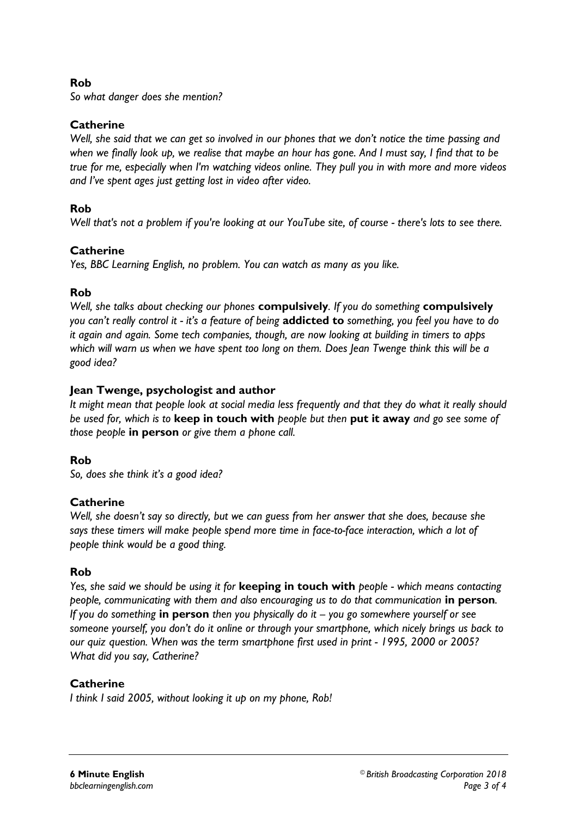#### **Rob**

*So what danger does she mention?*

#### **Catherine**

*Well, she said that we can get so involved in our phones that we don't notice the time passing and when we finally look up, we realise that maybe an hour has gone. And I must say, I find that to be true for me, especially when I'm watching videos online. They pull you in with more and more videos and I've spent ages just getting lost in video after video.*

#### **Rob**

*Well that's not a problem if you're looking at our YouTube site, of course - there's lots to see there.*

#### **Catherine**

*Yes, BBC Learning English, no problem. You can watch as many as you like.*

#### **Rob**

*Well, she talks about checking our phones* **compulsively***. If you do something* **compulsively**  *you can't really control it - it's a feature of being* **addicted to** *something, you feel you have to do it again and again. Some tech companies, though, are now looking at building in timers to apps which will warn us when we have spent too long on them. Does Jean Twenge think this will be a good idea?*

#### **Jean Twenge, psychologist and author**

*It might mean that people look at social media less frequently and that they do what it really should be used for, which is to* **keep in touch with** *people but then* **put it away** *and go see some of those people* **in person** *or give them a phone call.*

#### **Rob**

*So, does she think it's a good idea?*

#### **Catherine**

*Well, she doesn't say so directly, but we can guess from her answer that she does, because she says these timers will make people spend more time in face-to-face interaction, which a lot of people think would be a good thing.* 

#### **Rob**

*Yes, she said we should be using it for* **keeping in touch with** *people - which means contacting people, communicating with them and also encouraging us to do that communication* **in person***. If you do something* **in person** *then you physically do it – you go somewhere yourself or see someone yourself, you don't do it online or through your smartphone, which nicely brings us back to our quiz question. When was the term smartphone first used in print - 1995, 2000 or 2005? What did you say, Catherine?*

#### **Catherine**

*I think I said 2005, without looking it up on my phone, Rob!*